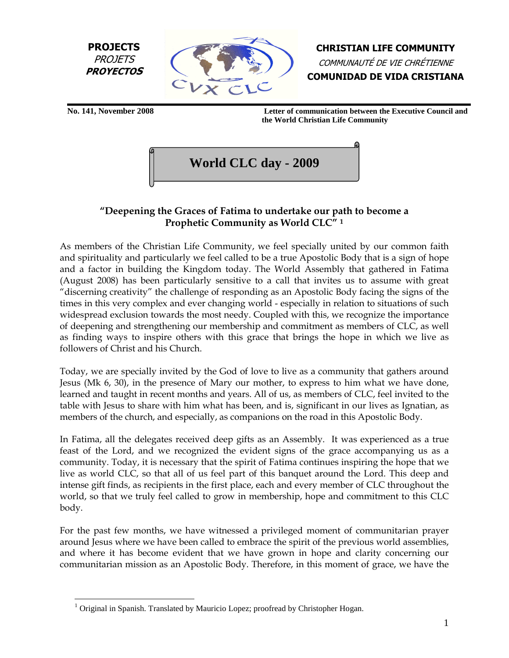



CHRISTIAN LIFE COMMUNITY COMMUNAUTÉ DE VIE CHRÉTIENNE COMUNIDAD DE VIDA CRISTIANA

<u>.</u>

**No. 141, November 2008 Letter of communication between the Executive Council and the World Christian Life Community**

**World CLC day - 2009** 

# "Deepening the Graces of Fatima to undertake our path to become a Prophetic Community as World CLC" <sup>1</sup>

As members of the Christian Life Community, we feel specially united by our common faith and spirituality and particularly we feel called to be a true Apostolic Body that is a sign of hope and a factor in building the Kingdom today. The World Assembly that gathered in Fatima (August 2008) has been particularly sensitive to a call that invites us to assume with great "discerning creativity" the challenge of responding as an Apostolic Body facing the signs of the times in this very complex and ever changing world - especially in relation to situations of such widespread exclusion towards the most needy. Coupled with this, we recognize the importance of deepening and strengthening our membership and commitment as members of CLC, as well as finding ways to inspire others with this grace that brings the hope in which we live as followers of Christ and his Church.

Today, we are specially invited by the God of love to live as a community that gathers around Jesus (Mk 6, 30), in the presence of Mary our mother, to express to him what we have done, learned and taught in recent months and years. All of us, as members of CLC, feel invited to the table with Jesus to share with him what has been, and is, significant in our lives as Ignatian, as members of the church, and especially, as companions on the road in this Apostolic Body.

In Fatima, all the delegates received deep gifts as an Assembly. It was experienced as a true feast of the Lord, and we recognized the evident signs of the grace accompanying us as a community. Today, it is necessary that the spirit of Fatima continues inspiring the hope that we live as world CLC, so that all of us feel part of this banquet around the Lord. This deep and intense gift finds, as recipients in the first place, each and every member of CLC throughout the world, so that we truly feel called to grow in membership, hope and commitment to this CLC body.

For the past few months, we have witnessed a privileged moment of communitarian prayer around Jesus where we have been called to embrace the spirit of the previous world assemblies, and where it has become evident that we have grown in hope and clarity concerning our communitarian mission as an Apostolic Body. Therefore, in this moment of grace, we have the

 $1$  Original in Spanish. Translated by Mauricio Lopez; proofread by Christopher Hogan.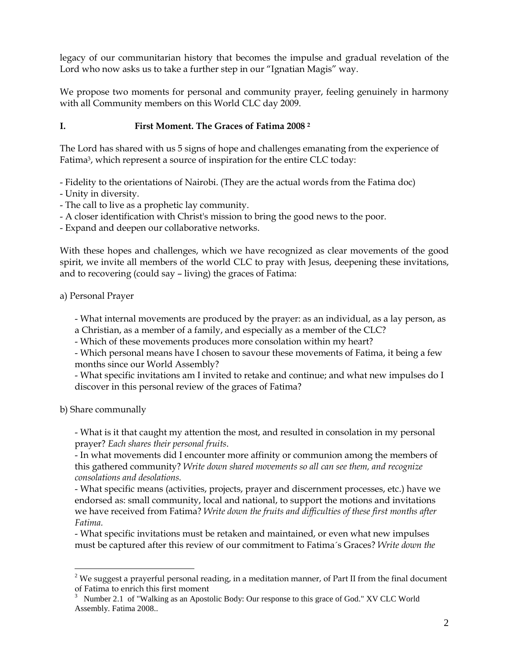legacy of our communitarian history that becomes the impulse and gradual revelation of the Lord who now asks us to take a further step in our "Ignatian Magis" way.

We propose two moments for personal and community prayer, feeling genuinely in harmony with all Community members on this World CLC day 2009.

### I. First Moment. The Graces of Fatima 2008 <sup>2</sup>

The Lord has shared with us 5 signs of hope and challenges emanating from the experience of Fatima3, which represent a source of inspiration for the entire CLC today:

- Fidelity to the orientations of Nairobi. (They are the actual words from the Fatima doc)
- Unity in diversity.
- The call to live as a prophetic lay community.
- A closer identification with Christ's mission to bring the good news to the poor.

- Expand and deepen our collaborative networks.

With these hopes and challenges, which we have recognized as clear movements of the good spirit, we invite all members of the world CLC to pray with Jesus, deepening these invitations, and to recovering (could say – living) the graces of Fatima:

a) Personal Prayer

- What internal movements are produced by the prayer: as an individual, as a lay person, as

- a Christian, as a member of a family, and especially as a member of the CLC?
- Which of these movements produces more consolation within my heart?

- Which personal means have I chosen to savour these movements of Fatima, it being a few months since our World Assembly?

- What specific invitations am I invited to retake and continue; and what new impulses do I discover in this personal review of the graces of Fatima?

b) Share communally

<u>.</u>

- What is it that caught my attention the most, and resulted in consolation in my personal prayer? Each shares their personal fruits.

- In what movements did I encounter more affinity or communion among the members of this gathered community? Write down shared movements so all can see them, and recognize consolations and desolations.

- What specific means (activities, projects, prayer and discernment processes, etc.) have we endorsed as: small community, local and national, to support the motions and invitations we have received from Fatima? Write down the fruits and difficulties of these first months after Fatima.

- What specific invitations must be retaken and maintained, or even what new impulses must be captured after this review of our commitment to Fatima's Graces? Write down the

<sup>&</sup>lt;sup>2</sup> We suggest a prayerful personal reading, in a meditation manner, of Part II from the final document of Fatima to enrich this first moment

<sup>&</sup>lt;sup>3</sup> Number 2.1 of "Walking as an Apostolic Body: Our response to this grace of God." XV CLC World Assembly. Fatima 2008..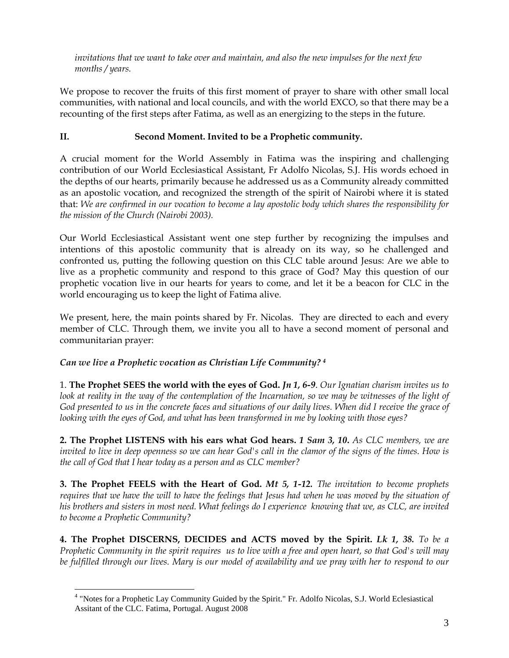invitations that we want to take over and maintain, and also the new impulses for the next few months / years.

We propose to recover the fruits of this first moment of prayer to share with other small local communities, with national and local councils, and with the world EXCO, so that there may be a recounting of the first steps after Fatima, as well as an energizing to the steps in the future.

## II. Second Moment. Invited to be a Prophetic community.

A crucial moment for the World Assembly in Fatima was the inspiring and challenging contribution of our World Ecclesiastical Assistant, Fr Adolfo Nicolas, S.J. His words echoed in the depths of our hearts, primarily because he addressed us as a Community already committed as an apostolic vocation, and recognized the strength of the spirit of Nairobi where it is stated that: We are confirmed in our vocation to become a lay apostolic body which shares the responsibility for the mission of the Church (Nairobi 2003).

Our World Ecclesiastical Assistant went one step further by recognizing the impulses and intentions of this apostolic community that is already on its way, so he challenged and confronted us, putting the following question on this CLC table around Jesus: Are we able to live as a prophetic community and respond to this grace of God? May this question of our prophetic vocation live in our hearts for years to come, and let it be a beacon for CLC in the world encouraging us to keep the light of Fatima alive.

We present, here, the main points shared by Fr. Nicolas. They are directed to each and every member of CLC. Through them, we invite you all to have a second moment of personal and communitarian prayer:

### Can we live a Prophetic vocation as Christian Life Community? <sup>4</sup>

1. The Prophet SEES the world with the eyes of God.  $In 1, 6-9$ . Our Ignatian charism invites us to look at reality in the way of the contemplation of the Incarnation, so we may be witnesses of the light of God presented to us in the concrete faces and situations of our daily lives. When did I receive the grace of looking with the eyes of God, and what has been transformed in me by looking with those eyes?

**2. The Prophet LISTENS with his ears what God hears. 1 Sam 3, 10.** As CLC members, we are invited to live in deep openness so we can hear God's call in the clamor of the signs of the times. How is the call of God that I hear today as a person and as CLC member?

**3. The Prophet FEELS with the Heart of God. Mt 5, 1-12.** The invitation to become prophets requires that we have the will to have the feelings that Jesus had when he was moved by the situation of his brothers and sisters in most need. What feelings do I experience knowing that we, as CLC, are invited to become a Prophetic Community?

4. The Prophet DISCERNS, DECIDES and ACTS moved by the Spirit. Lk 1, 38. To be a Prophetic Community in the spirit requires us to live with a free and open heart, so that God's will may be fulfilled through our lives. Mary is our model of availability and we pray with her to respond to our

<sup>&</sup>lt;u>.</u> <sup>4</sup> "Notes for a Prophetic Lay Community Guided by the Spirit." Fr. Adolfo Nicolas, S.J. World Eclesiastical Assitant of the CLC. Fatima, Portugal. August 2008